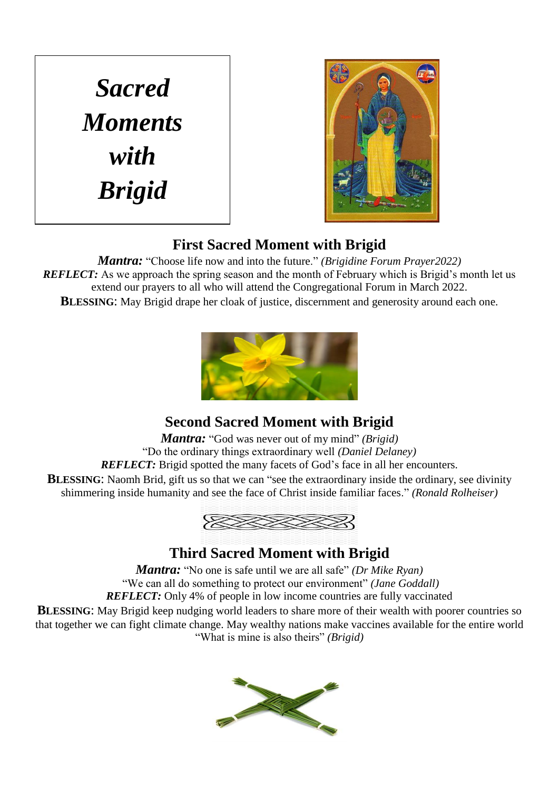*Sacred Moments with Brigid*



#### **First Sacred Moment with Brigid**

*Mantra:* "Choose life now and into the future." *(Brigidine Forum Prayer2022) REFLECT:* As we approach the spring season and the month of February which is Brigid's month let us extend our prayers to all who will attend the Congregational Forum in March 2022. **BLESSING:** May Brigid drape her cloak of justice, discernment and generosity around each one.



# **Second Sacred Moment with Brigid**

*Mantra:* "God was never out of my mind" *(Brigid)* "Do the ordinary things extraordinary well *(Daniel Delaney) REFLECT:* Brigid spotted the many facets of God's face in all her encounters. **BLESSING:** Naomh Brid, gift us so that we can "see the extraordinary inside the ordinary, see divinity shimmering inside humanity and see the face of Christ inside familiar faces." *(Ronald Rolheiser)*



## **Third Sacred Moment with Brigid**

*Mantra:* "No one is safe until we are all safe" *(Dr Mike Ryan)* "We can all do something to protect our environment" *(Jane Goddall) REFLECT:* Only 4% of people in low income countries are fully vaccinated

**BLESSING:** May Brigid keep nudging world leaders to share more of their wealth with poorer countries so that together we can fight climate change. May wealthy nations make vaccines available for the entire world "What is mine is also theirs" *(Brigid)*